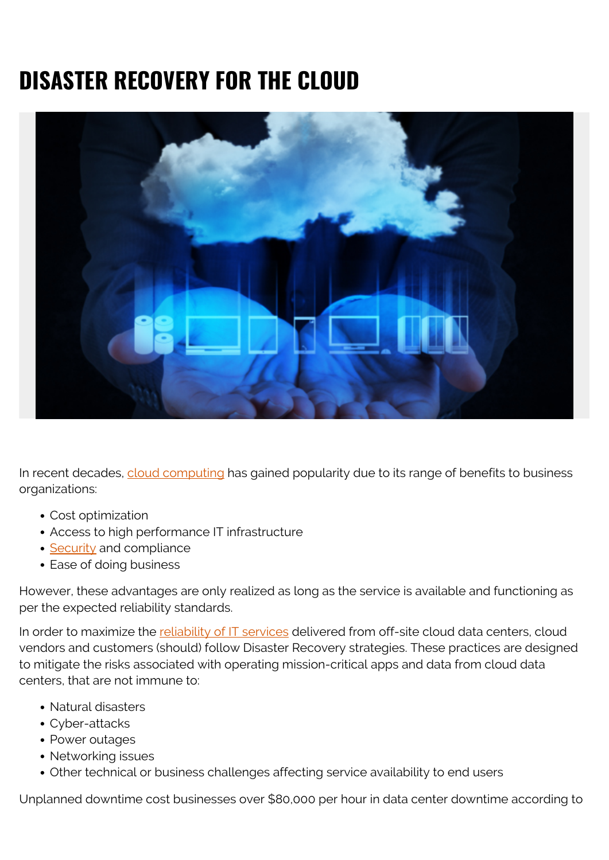# **DISASTER RECOVERY FOR THE CLOUD**



In recent decades, [cloud computing](https://blogs.bmc.com/blogs/public-private-hybrid-cloud/) has gained popularity due to its range of benefits to business organizations:

- Cost optimization
- Access to high performance IT infrastructure
- [Security](https://blogs.bmc.com/blogs/security-vulnerability-vs-threat-vs-risk-whats-difference/) and compliance
- Ease of doing business

However, these advantages are only realized as long as the service is available and functioning as per the expected reliability standards.

In order to maximize the [reliability of IT services](https://blogs.bmc.com/blogs/reliability-vs-availability/) delivered from off-site cloud data centers, cloud vendors and customers (should) follow Disaster Recovery strategies. These practices are designed to mitigate the risks associated with operating mission-critical apps and data from cloud data centers, that are not immune to:

- Natural disasters
- Cyber-attacks
- Power outages
- Networking issues
- Other technical or business challenges affecting service availability to end users

Unplanned downtime cost businesses over \$80,000 per hour in data center downtime according to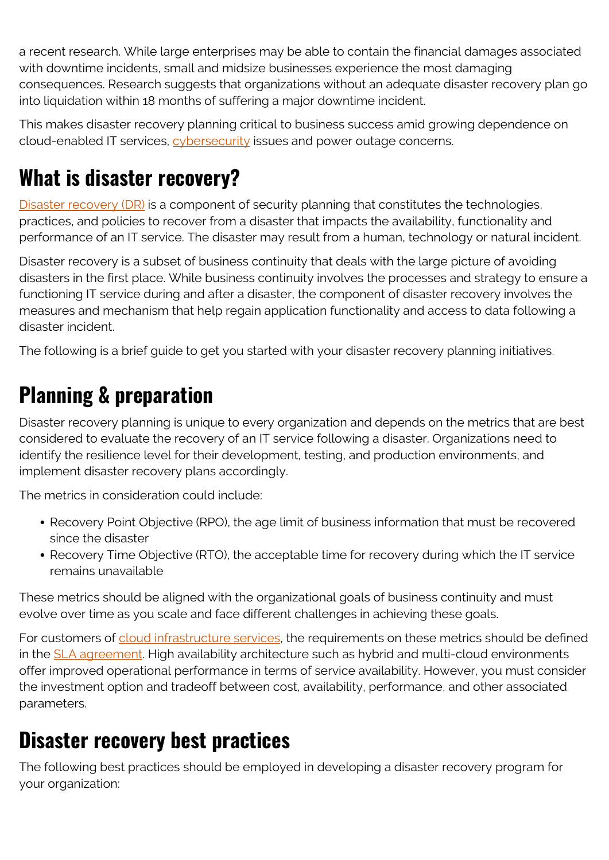a recent research. While large enterprises may be able to contain the financial damages associated with downtime incidents, small and midsize businesses experience the most damaging consequences. Research suggests that organizations without an adequate disaster recovery plan go into liquidation within 18 months of suffering a major downtime incident.

This makes disaster recovery planning critical to business success amid growing dependence on cloud-enabled IT services, [cybersecurity](https://blogs.bmc.com/blogs/cybersecurity/) issues and power outage concerns.

### **What is disaster recovery?**

[Disaster recovery \(DR\)](https://blogs.bmc.com/blogs/disaster-recovery-planning/) is a component of security planning that constitutes the technologies, practices, and policies to recover from a disaster that impacts the availability, functionality and performance of an IT service. The disaster may result from a human, technology or natural incident.

Disaster recovery is a subset of business continuity that deals with the large picture of avoiding disasters in the first place. While business continuity involves the processes and strategy to ensure a functioning IT service during and after a disaster, the component of disaster recovery involves the measures and mechanism that help regain application functionality and access to data following a disaster incident.

The following is a brief guide to get you started with your disaster recovery planning initiatives.

## **Planning & preparation**

Disaster recovery planning is unique to every organization and depends on the metrics that are best considered to evaluate the recovery of an IT service following a disaster. Organizations need to identify the resilience level for their development, testing, and production environments, and implement disaster recovery plans accordingly.

The metrics in consideration could include:

- Recovery Point Objective (RPO), the age limit of business information that must be recovered since the disaster
- Recovery Time Objective (RTO), the acceptable time for recovery during which the IT service remains unavailable

These metrics should be aligned with the organizational goals of business continuity and must evolve over time as you scale and face different challenges in achieving these goals.

For customers of [cloud infrastructure services](https://blogs.bmc.com/blogs/saas-vs-paas-vs-iaas-whats-the-difference-and-how-to-choose/), the requirements on these metrics should be defined in the **[SLA agreement](https://blogs.bmc.com/blogs/sla-template-examples/)**. High availability architecture such as hybrid and multi-cloud environments offer improved operational performance in terms of service availability. However, you must consider the investment option and tradeoff between cost, availability, performance, and other associated parameters.

#### **Disaster recovery best practices**

The following best practices should be employed in developing a disaster recovery program for your organization: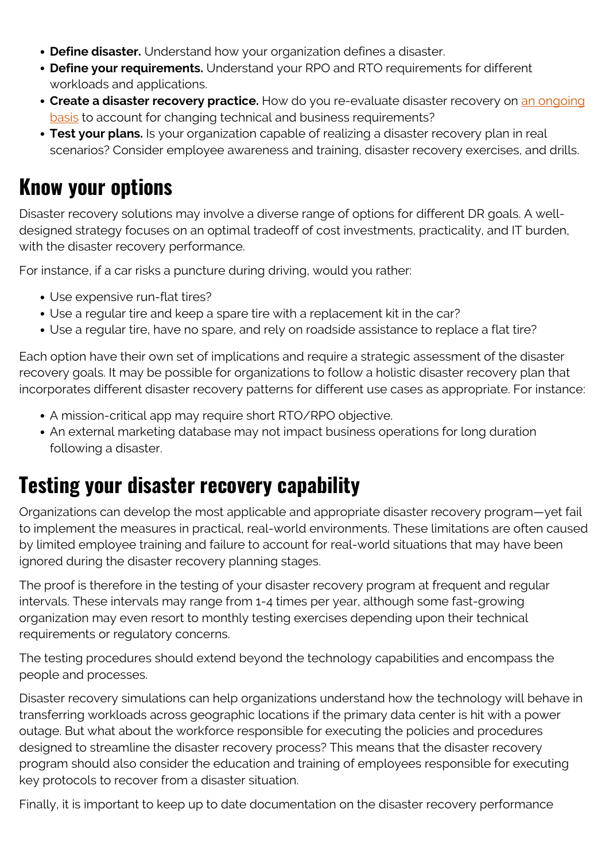- **Define disaster.** Understand how your organization defines a disaster.
- **Define your requirements.** Understand your RPO and RTO requirements for different workloads and applications.
- **Create a disaster recovery practice.** How do you re-evaluate disaster recovery on [an ongoing](https://blogs.bmc.com/blogs/practice-vs-process/) [basis](https://blogs.bmc.com/blogs/practice-vs-process/) to account for changing technical and business requirements?
- **Test your plans.** Is your organization capable of realizing a disaster recovery plan in real scenarios? Consider employee awareness and training, disaster recovery exercises, and drills.

#### **Know your options**

Disaster recovery solutions may involve a diverse range of options for different DR goals. A welldesigned strategy focuses on an optimal tradeoff of cost investments, practicality, and IT burden, with the disaster recovery performance.

For instance, if a car risks a puncture during driving, would you rather:

- Use expensive run-flat tires?
- Use a regular tire and keep a spare tire with a replacement kit in the car?
- Use a regular tire, have no spare, and rely on roadside assistance to replace a flat tire?

Each option have their own set of implications and require a strategic assessment of the disaster recovery goals. It may be possible for organizations to follow a holistic disaster recovery plan that incorporates different disaster recovery patterns for different use cases as appropriate. For instance:

- A mission-critical app may require short RTO/RPO objective.
- An external marketing database may not impact business operations for long duration following a disaster.

#### **Testing your disaster recovery capability**

Organizations can develop the most applicable and appropriate disaster recovery program—yet fail to implement the measures in practical, real-world environments. These limitations are often caused by limited employee training and failure to account for real-world situations that may have been ignored during the disaster recovery planning stages.

The proof is therefore in the testing of your disaster recovery program at frequent and regular intervals. These intervals may range from 1-4 times per year, although some fast-growing organization may even resort to monthly testing exercises depending upon their technical requirements or regulatory concerns.

The testing procedures should extend beyond the technology capabilities and encompass the people and processes.

Disaster recovery simulations can help organizations understand how the technology will behave in transferring workloads across geographic locations if the primary data center is hit with a power outage. But what about the workforce responsible for executing the policies and procedures designed to streamline the disaster recovery process? This means that the disaster recovery program should also consider the education and training of employees responsible for executing key protocols to recover from a disaster situation.

Finally, it is important to keep up to date documentation on the disaster recovery performance